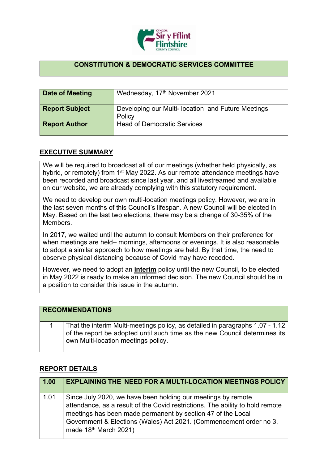

## **CONSTITUTION & DEMOCRATIC SERVICES COMMITTEE**

| Date of Meeting       | Wednesday, 17th November 2021                                |
|-----------------------|--------------------------------------------------------------|
| <b>Report Subject</b> | Developing our Multi- location and Future Meetings<br>Policy |
| <b>Report Author</b>  | <b>Head of Democratic Services</b>                           |

## **EXECUTIVE SUMMARY**

We will be required to broadcast all of our meetings (whether held physically, as hybrid, or remotely) from 1<sup>st</sup> May 2022. As our remote attendance meetings have been recorded and broadcast since last year, and all livestreamed and available on our website, we are already complying with this statutory requirement.

We need to develop our own multi-location meetings policy. However, we are in the last seven months of this Council's lifespan. A new Council will be elected in May. Based on the last two elections, there may be a change of 30-35% of the Members.

In 2017, we waited until the autumn to consult Members on their preference for when meetings are held– mornings, afternoons or evenings. It is also reasonable to adopt a similar approach to how meetings are held. By that time, the need to observe physical distancing because of Covid may have receded.

However, we need to adopt an **interim** policy until the new Council, to be elected in May 2022 is ready to make an informed decision. The new Council should be in a position to consider this issue in the autumn.

| <b>RECOMMENDATIONS</b> |                                                                                                                                                                                                    |  |
|------------------------|----------------------------------------------------------------------------------------------------------------------------------------------------------------------------------------------------|--|
|                        | That the interim Multi-meetings policy, as detailed in paragraphs 1.07 - 1.12<br>of the report be adopted until such time as the new Council determines its<br>own Multi-location meetings policy. |  |

## **REPORT DETAILS**

| 1.00 | <b>EXPLAINING THE NEED FOR A MULTI-LOCATION MEETINGS POLICY</b>                                                                                                                                                                                                                                                         |
|------|-------------------------------------------------------------------------------------------------------------------------------------------------------------------------------------------------------------------------------------------------------------------------------------------------------------------------|
| 1.01 | Since July 2020, we have been holding our meetings by remote<br>attendance, as a result of the Covid restrictions. The ability to hold remote<br>meetings has been made permanent by section 47 of the Local<br>Government & Elections (Wales) Act 2021. (Commencement order no 3,<br>made 18 <sup>th</sup> March 2021) |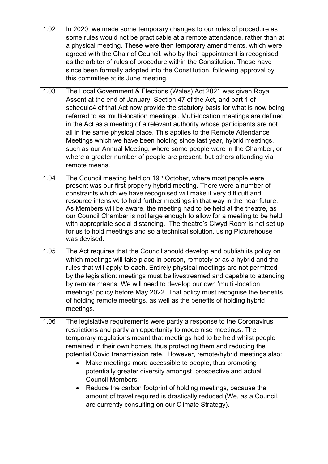| 1.02 | In 2020, we made some temporary changes to our rules of procedure as<br>some rules would not be practicable at a remote attendance, rather than at<br>a physical meeting. These were then temporary amendments, which were<br>agreed with the Chair of Council, who by their appointment is recognised<br>as the arbiter of rules of procedure within the Constitution. These have<br>since been formally adopted into the Constitution, following approval by<br>this committee at its June meeting.                                                                                                                                                                                                                      |  |
|------|----------------------------------------------------------------------------------------------------------------------------------------------------------------------------------------------------------------------------------------------------------------------------------------------------------------------------------------------------------------------------------------------------------------------------------------------------------------------------------------------------------------------------------------------------------------------------------------------------------------------------------------------------------------------------------------------------------------------------|--|
| 1.03 | The Local Government & Elections (Wales) Act 2021 was given Royal<br>Assent at the end of January. Section 47 of the Act, and part 1 of<br>schedule4 of that Act now provide the statutory basis for what is now being<br>referred to as 'multi-location meetings'. Multi-location meetings are defined<br>in the Act as a meeting of a relevant authority whose participants are not<br>all in the same physical place. This applies to the Remote Attendance<br>Meetings which we have been holding since last year, hybrid meetings,<br>such as our Annual Meeting, where some people were in the Chamber, or<br>where a greater number of people are present, but others attending via<br>remote means.                |  |
| 1.04 | The Council meeting held on 19 <sup>th</sup> October, where most people were<br>present was our first properly hybrid meeting. There were a number of<br>constraints which we have recognised will make it very difficult and<br>resource intensive to hold further meetings in that way in the near future.<br>As Members will be aware, the meeting had to be held at the theatre, as<br>our Council Chamber is not large enough to allow for a meeting to be held<br>with appropriate social distancing. The theatre's Clwyd Room is not set up<br>for us to hold meetings and so a technical solution, using Picturehouse<br>was devised.                                                                              |  |
| 1.05 | The Act requires that the Council should develop and publish its policy on<br>which meetings will take place in person, remotely or as a hybrid and the<br>rules that will apply to each. Entirely physical meetings are not permitted<br>by the legislation: meetings must be livestreamed and capable to attending<br>by remote means. We will need to develop our own 'multi-location<br>meetings' policy before May 2022. That policy must recognise the benefits<br>of holding remote meetings, as well as the benefits of holding hybrid<br>meetings.                                                                                                                                                                |  |
| 1.06 | The legislative requirements were partly a response to the Coronavirus<br>restrictions and partly an opportunity to modernise meetings. The<br>temporary regulations meant that meetings had to be held whilst people<br>remained in their own homes, thus protecting them and reducing the<br>potential Covid transmission rate. However, remote/hybrid meetings also:<br>Make meetings more accessible to people, thus promoting<br>potentially greater diversity amongst prospective and actual<br><b>Council Members;</b><br>Reduce the carbon footprint of holding meetings, because the<br>amount of travel required is drastically reduced (We, as a Council,<br>are currently consulting on our Climate Strategy). |  |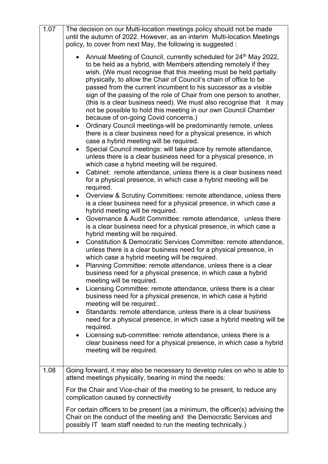| 1.07 | The decision on our Multi-location meetings policy should not be made<br>until the autumn of 2022. However, as an interim Multi-location Meetings<br>policy, to cover from next May, the following is suggested:                                                                                                                                                                                                                                                                                                                                                                                                                                                                                                                                                                                                                                                                                                                                                                                                                                                                                                                                                                                                                                                                                                                                                                                                                                                                                                                                                                                                                                                                                                                              |  |  |
|------|-----------------------------------------------------------------------------------------------------------------------------------------------------------------------------------------------------------------------------------------------------------------------------------------------------------------------------------------------------------------------------------------------------------------------------------------------------------------------------------------------------------------------------------------------------------------------------------------------------------------------------------------------------------------------------------------------------------------------------------------------------------------------------------------------------------------------------------------------------------------------------------------------------------------------------------------------------------------------------------------------------------------------------------------------------------------------------------------------------------------------------------------------------------------------------------------------------------------------------------------------------------------------------------------------------------------------------------------------------------------------------------------------------------------------------------------------------------------------------------------------------------------------------------------------------------------------------------------------------------------------------------------------------------------------------------------------------------------------------------------------|--|--|
|      | Annual Meeting of Council, currently scheduled for 24 <sup>th</sup> May 2022,<br>to be held as a hybrid, with Members attending remotely if they<br>wish. (We must recognise that this meeting must be held partially<br>physically, to allow the Chair of Council's chain of office to be<br>passed from the current incumbent to his successor as a visible<br>sign of the passing of the role of Chair from one person to another,<br>(this is a clear business need). We must also recognise that it may<br>not be possible to hold this meeting in our own Council Chamber<br>because of on-going Covid concerns.)<br>Ordinary Council meetings-will be predominantly remote, unless<br>$\bullet$<br>there is a clear business need for a physical presence, in which<br>case a hybrid meeting will be required.<br>Special Council meetings: will take place by remote attendance,<br>$\bullet$<br>unless there is a clear business need for a physical presence, in<br>which case a hybrid meeting will be required.<br>Cabinet: remote attendance, unless there is a clear business need<br>for a physical presence, in which case a hybrid meeting will be<br>required.<br>Overview & Scrutiny Committees: remote attendance, unless there<br>is a clear business need for a physical presence, in which case a<br>hybrid meeting will be required.<br>Governance & Audit Committee: remote attendance, unless there<br>is a clear business need for a physical presence, in which case a<br>hybrid meeting will be required.<br>Constitution & Democratic Services Committee: remote attendance,<br>$\bullet$<br>unless there is a clear business need for a physical presence, in<br>which case a hybrid meeting will be required. |  |  |
|      | Planning Committee: remote attendance, unless there is a clear<br>business need for a physical presence, in which case a hybrid<br>meeting will be required.                                                                                                                                                                                                                                                                                                                                                                                                                                                                                                                                                                                                                                                                                                                                                                                                                                                                                                                                                                                                                                                                                                                                                                                                                                                                                                                                                                                                                                                                                                                                                                                  |  |  |
|      | Licensing Committee: remote attendance, unless there is a clear<br>$\bullet$<br>business need for a physical presence, in which case a hybrid<br>meeting will be required                                                                                                                                                                                                                                                                                                                                                                                                                                                                                                                                                                                                                                                                                                                                                                                                                                                                                                                                                                                                                                                                                                                                                                                                                                                                                                                                                                                                                                                                                                                                                                     |  |  |
|      | Standards: remote attendance, unless there is a clear business<br>$\bullet$<br>need for a physical presence, in which case a hybrid meeting will be<br>required.                                                                                                                                                                                                                                                                                                                                                                                                                                                                                                                                                                                                                                                                                                                                                                                                                                                                                                                                                                                                                                                                                                                                                                                                                                                                                                                                                                                                                                                                                                                                                                              |  |  |
|      | Licensing sub-committee: remote attendance, unless there is a<br>clear business need for a physical presence, in which case a hybrid<br>meeting will be required.                                                                                                                                                                                                                                                                                                                                                                                                                                                                                                                                                                                                                                                                                                                                                                                                                                                                                                                                                                                                                                                                                                                                                                                                                                                                                                                                                                                                                                                                                                                                                                             |  |  |
| 1.08 | Going forward, it may also be necessary to develop rules on who is able to<br>attend meetings physically, bearing in mind the needs:                                                                                                                                                                                                                                                                                                                                                                                                                                                                                                                                                                                                                                                                                                                                                                                                                                                                                                                                                                                                                                                                                                                                                                                                                                                                                                                                                                                                                                                                                                                                                                                                          |  |  |
|      | For the Chair and Vice-chair of the meeting to be present, to reduce any<br>complication caused by connectivity                                                                                                                                                                                                                                                                                                                                                                                                                                                                                                                                                                                                                                                                                                                                                                                                                                                                                                                                                                                                                                                                                                                                                                                                                                                                                                                                                                                                                                                                                                                                                                                                                               |  |  |
|      | For certain officers to be present (as a minimum, the officer(s) advising the<br>Chair on the conduct of the meeting and the Democratic Services and<br>possibly IT team staff needed to run the meeting technically.)                                                                                                                                                                                                                                                                                                                                                                                                                                                                                                                                                                                                                                                                                                                                                                                                                                                                                                                                                                                                                                                                                                                                                                                                                                                                                                                                                                                                                                                                                                                        |  |  |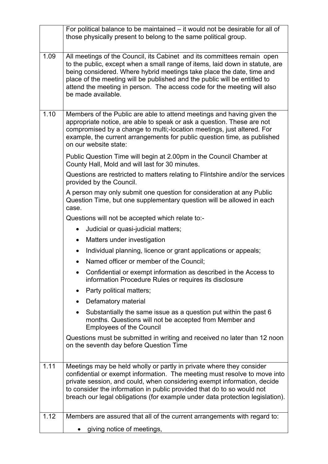|                                                                                                                                                         | For political balance to be maintained – it would not be desirable for all of<br>those physically present to belong to the same political group.                                                                                                                                                                                                                                                               |  |
|---------------------------------------------------------------------------------------------------------------------------------------------------------|----------------------------------------------------------------------------------------------------------------------------------------------------------------------------------------------------------------------------------------------------------------------------------------------------------------------------------------------------------------------------------------------------------------|--|
| 1.09                                                                                                                                                    | All meetings of the Council, its Cabinet and its committees remain open<br>to the public, except when a small range of items, laid down in statute, are<br>being considered. Where hybrid meetings take place the date, time and<br>place of the meeting will be published and the public will be entitled to<br>attend the meeting in person. The access code for the meeting will also<br>be made available. |  |
| 1.10                                                                                                                                                    | Members of the Public are able to attend meetings and having given the<br>appropriate notice, are able to speak or ask a question. These are not<br>compromised by a change to multi;-location meetings, just altered. For<br>example, the current arrangements for public question time, as published<br>on our website state:                                                                                |  |
|                                                                                                                                                         | Public Question Time will begin at 2.00pm in the Council Chamber at<br>County Hall, Mold and will last for 30 minutes.                                                                                                                                                                                                                                                                                         |  |
|                                                                                                                                                         | Questions are restricted to matters relating to Flintshire and/or the services<br>provided by the Council.                                                                                                                                                                                                                                                                                                     |  |
| A person may only submit one question for consideration at any Public<br>Question Time, but one supplementary question will be allowed in each<br>case. |                                                                                                                                                                                                                                                                                                                                                                                                                |  |
|                                                                                                                                                         | Questions will not be accepted which relate to:-                                                                                                                                                                                                                                                                                                                                                               |  |
|                                                                                                                                                         | Judicial or quasi-judicial matters;<br>$\bullet$                                                                                                                                                                                                                                                                                                                                                               |  |
|                                                                                                                                                         | Matters under investigation<br>$\bullet$                                                                                                                                                                                                                                                                                                                                                                       |  |
|                                                                                                                                                         | Individual planning, licence or grant applications or appeals;                                                                                                                                                                                                                                                                                                                                                 |  |
|                                                                                                                                                         | Named officer or member of the Council;                                                                                                                                                                                                                                                                                                                                                                        |  |
|                                                                                                                                                         | Confidential or exempt information as described in the Access to<br>information Procedure Rules or requires its disclosure                                                                                                                                                                                                                                                                                     |  |
|                                                                                                                                                         | Party political matters;                                                                                                                                                                                                                                                                                                                                                                                       |  |
|                                                                                                                                                         | Defamatory material<br>$\bullet$                                                                                                                                                                                                                                                                                                                                                                               |  |
|                                                                                                                                                         | Substantially the same issue as a question put within the past 6<br>months. Questions will not be accepted from Member and<br><b>Employees of the Council</b>                                                                                                                                                                                                                                                  |  |
|                                                                                                                                                         | Questions must be submitted in writing and received no later than 12 noon<br>on the seventh day before Question Time                                                                                                                                                                                                                                                                                           |  |
| 1.11                                                                                                                                                    | Meetings may be held wholly or partly in private where they consider<br>confidential or exempt information. The meeting must resolve to move into<br>private session, and could, when considering exempt information, decide<br>to consider the information in public provided that do to so would not<br>breach our legal obligations (for example under data protection legislation).                        |  |
| 1.12                                                                                                                                                    | Members are assured that all of the current arrangements with regard to:                                                                                                                                                                                                                                                                                                                                       |  |
|                                                                                                                                                         | giving notice of meetings,                                                                                                                                                                                                                                                                                                                                                                                     |  |